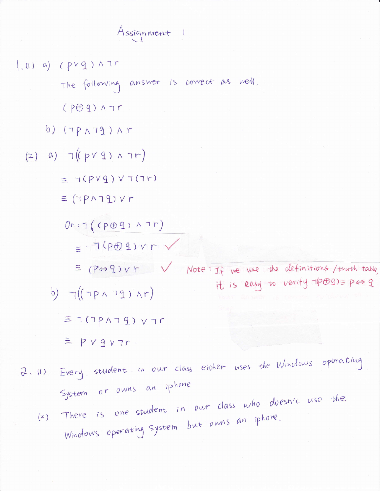Assignment 1

 $(0, 0)$  (pvg) ATM The following answer is correct as well.  $CPCDQ)$   $\wedge$  7r b)  $(7P\wedge 79) \wedge r$  $(2)$  a)  $7((p \vee 9) \wedge 7r)$  $\equiv \neg (P V q) V \neg (I r)$  $\equiv$  ( $TPAT9$ )  $Vr$  $Or:7(CP@Q) \wedge7r)$  $= 7(p+9)vr \sqrt{2}$  $\equiv$  (P + 9) v r V = Note: If we use the definitions /truth table it is easy to verify 1por = p <> q b)  $\neg((\neg p \land \neg q) \land r)$  $\equiv 1(1P\wedge T\,T) \vee T$ r

- $= PV9V7r$
- 2. (1) Every student in our class either uses the Windows operating System or owns an iphone There is one student in our class who doesn't use the
	- Windows operating system but owns an iphone.  $(2)$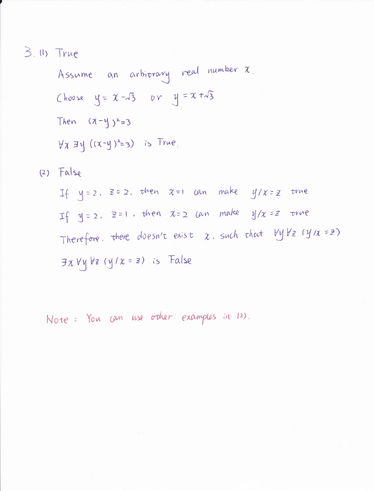3. (1) True

Assume an arbitrary real number x. Choose  $y = \chi - \sqrt{3}$  or  $y = \chi + \sqrt{3}$ Then  $(\pi-\gamma)^2=3$  $\forall x \exists y ((x-y)^2=3)$  is True.  $(2)$  False

If  $y=2$ ,  $z=2$ , then  $x=1$  can make  $y/x=z$  true If  $y=z$ ,  $z=1$ , then  $x=z$  can make  $y/x=z$  true Therefore. there duesn't exist  $x$ , such that  $\forall y \forall z$  ( $y/x = z$ )  $\exists x \forall y \forall z (y/x = z)$  is False

Note: You can use other examples in 12).